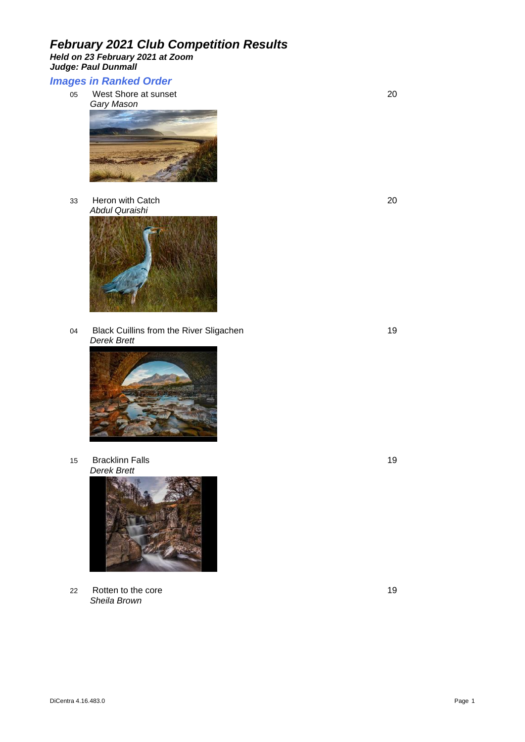*Held on 23 February 2021 at Zoom Judge: Paul Dunmall* 

#### *Images in Ranked Order*

05 West Shore at sunset 20 *Gary Mason*



33 Heron with Catch 20 *Abdul Quraishi*



04 Black Cuillins from the River Sligachen 19 and 19 *Derek Brett*



15 Bracklinn Falls 19 *Derek Brett*



22 Rotten to the core 19 *Sheila Brown*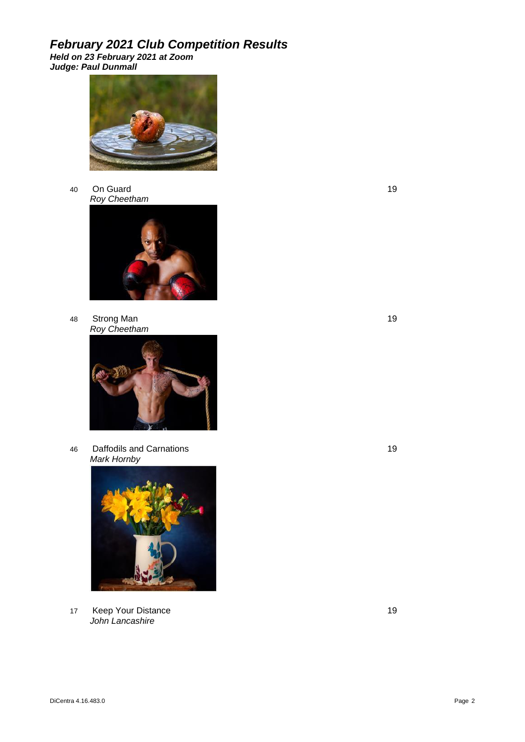*Held on 23 February 2021 at Zoom Judge: Paul Dunmall* 



40 On Guard 19 *Roy Cheetham*



48 Strong Man 19 *Roy Cheetham*



46 Daffodils and Carnations 19 *Mark Hornby*



17 Keep Your Distance 19 April 2014 19 November 2014 19 November 2019 19 November 2019 *John Lancashire*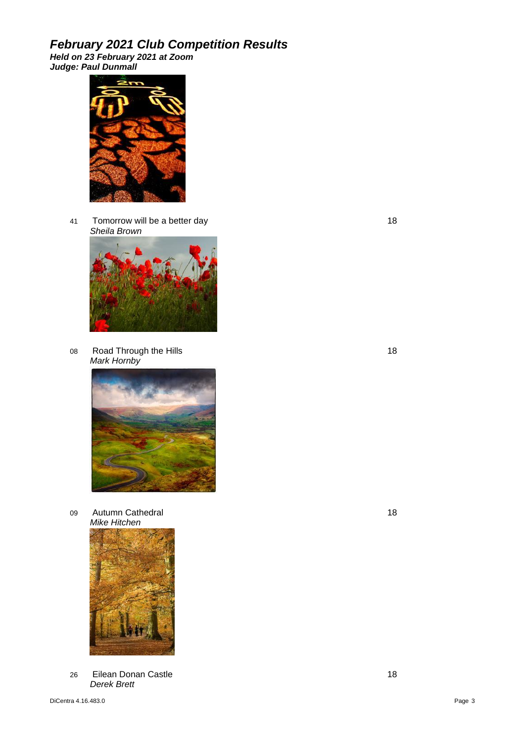*Held on 23 February 2021 at Zoom Judge: Paul Dunmall* 



41 Tomorrow will be a better day 18 *Sheila Brown*



08 Road Through the Hills 18 *Mark Hornby*



09 Autumn Cathedral 2008 18 *Mike Hitchen*



26 Eilean Donan Castle 18 and 2008 18 *Derek Brett*

DiCentra 4.16.483.0 Page 3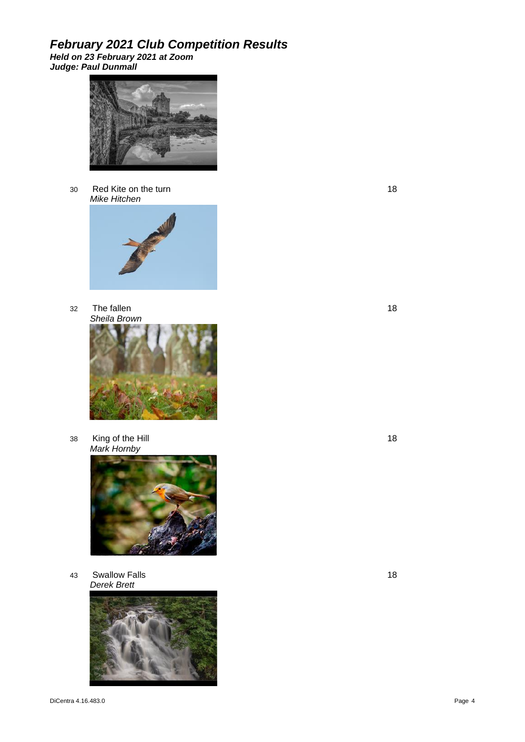*Held on 23 February 2021 at Zoom Judge: Paul Dunmall* 



30 Red Kite on the turn 18 *Mike Hitchen*



32 The fallen 18 *Sheila Brown*



38 King of the Hill 18 *Mark Hornby*



43 Swallow Falls 18 *Derek Brett*

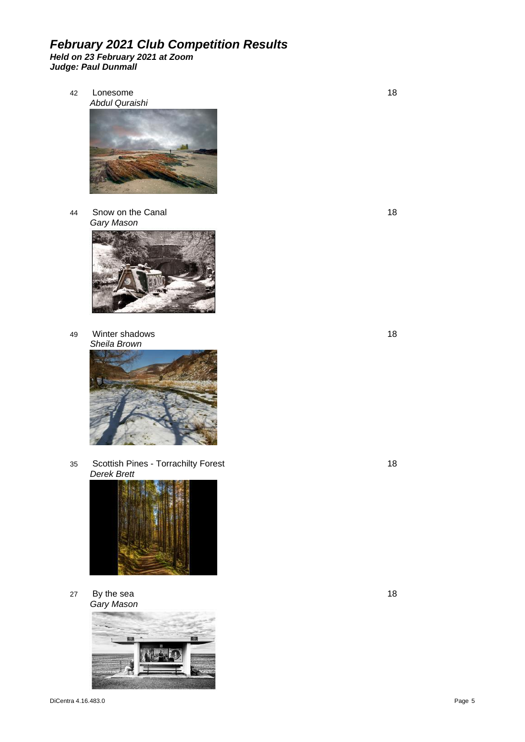#### *February 2021 Club Competition Results Held on 23 February 2021 at Zoom Judge: Paul Dunmall*

42 Lonesome 18



44 Snow on the Canal 18 *Gary Mason*



49 Winter shadows 18 *Sheila Brown*



35 Scottish Pines - Torrachilty Forest 18 *Derek Brett*



27 By the sea 18 *Gary Mason*

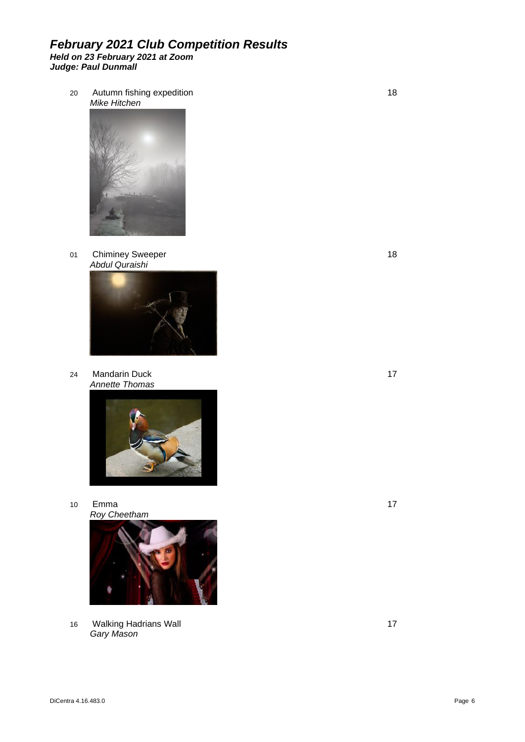20 Autumn fishing expedition 18 *Mike Hitchen*



01 Chiminey Sweeper 18 *Abdul Quraishi*



24 Mandarin Duck 17 *Annette Thomas*



10 Emma 17 *Roy Cheetham*



16 Walking Hadrians Wall 17 November 2012 17 *Gary Mason*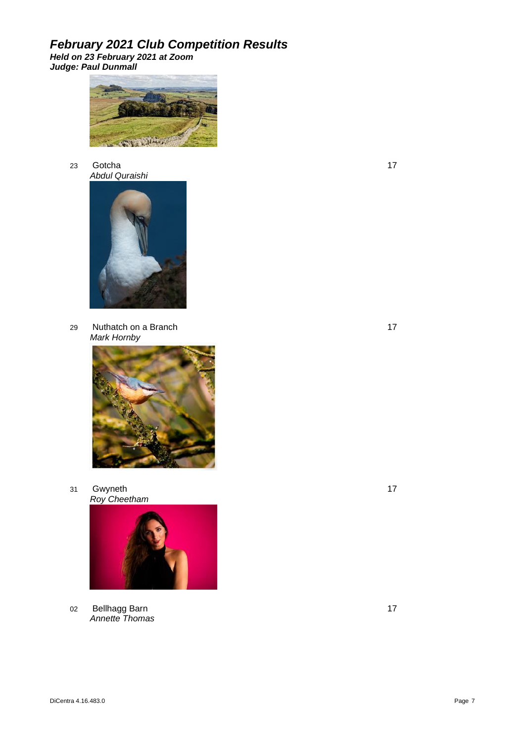*Held on 23 February 2021 at Zoom Judge: Paul Dunmall* 



23 Gotcha 17 *Abdul Quraishi*



29 Nuthatch on a Branch 17 *Mark Hornby*



31 Gwyneth 17 *Roy Cheetham*



02 Bellhagg Barn 17 *Annette Thomas*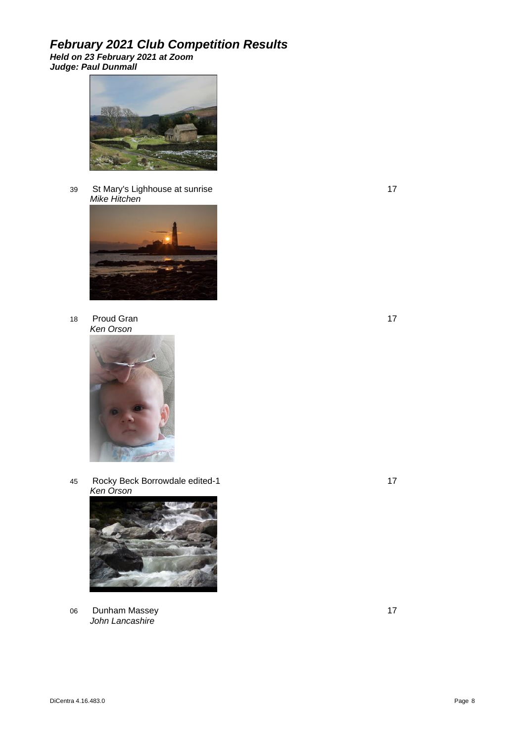*Held on 23 February 2021 at Zoom Judge: Paul Dunmall* 



39 St Mary's Lighhouse at sunrise 17 *Mike Hitchen*



18 Proud Gran 17 *Ken Orson*



45 Rocky Beck Borrowdale edited-1 17 *Ken Orson*



06 Dunham Massey 17 *John Lancashire*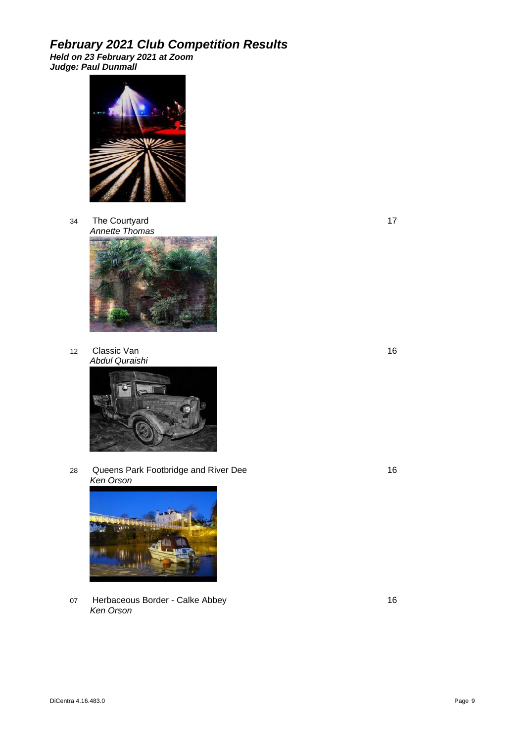*Held on 23 February 2021 at Zoom Judge: Paul Dunmall* 



34 The Courtyard 17 *Annette Thomas*



12 Classic Van 16 *Abdul Quraishi*



28 Queens Park Footbridge and River Dee 16 16 *Ken Orson*



07 Herbaceous Border - Calke Abbey 16 *Ken Orson*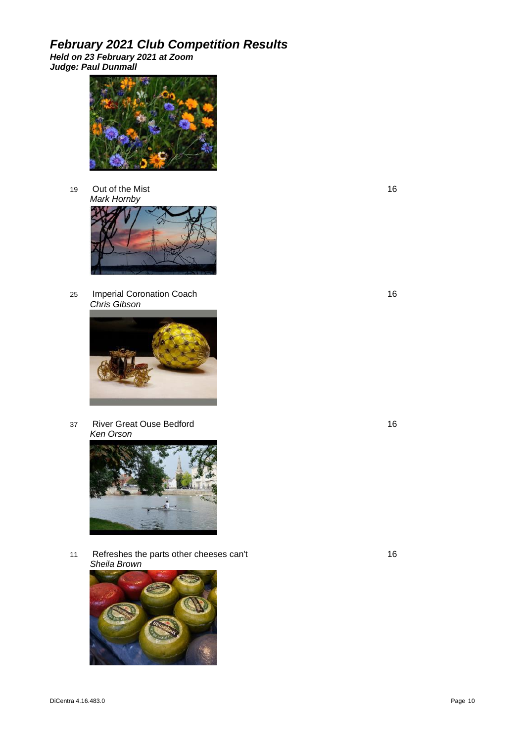*Held on 23 February 2021 at Zoom Judge: Paul Dunmall* 



19 Out of the Mist 16 *Mark Hornby*



25 Imperial Coronation Coach 16 *Chris Gibson*



37 River Great Ouse Bedford 16 *Ken Orson*



11 Refreshes the parts other cheeses can't 16 *Sheila Brown*

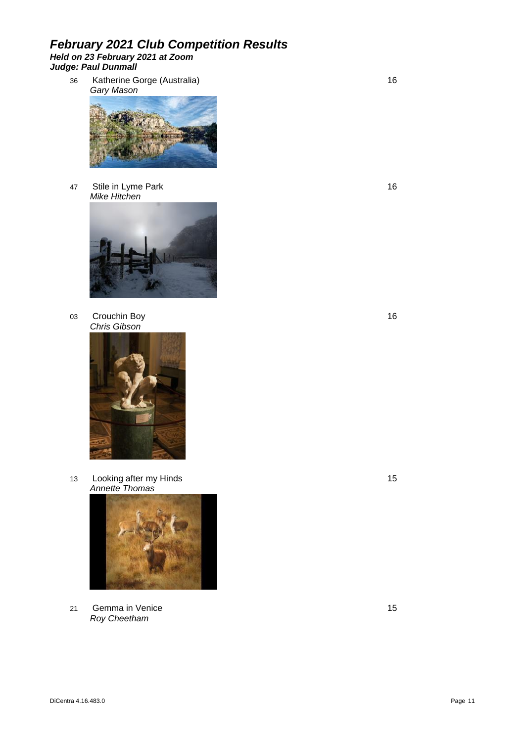#### *February 2021 Club Competition Results Held on 23 February 2021 at Zoom Judge: Paul Dunmall*

36 Katherine Gorge (Australia) 16 *Gary Mason*



47 Stile in Lyme Park 16 *Mike Hitchen*



03 Crouchin Boy 16 *Chris Gibson*



13 Looking after my Hinds 15 *Annette Thomas*



21 Gemma in Venice 2015 15 *Roy Cheetham*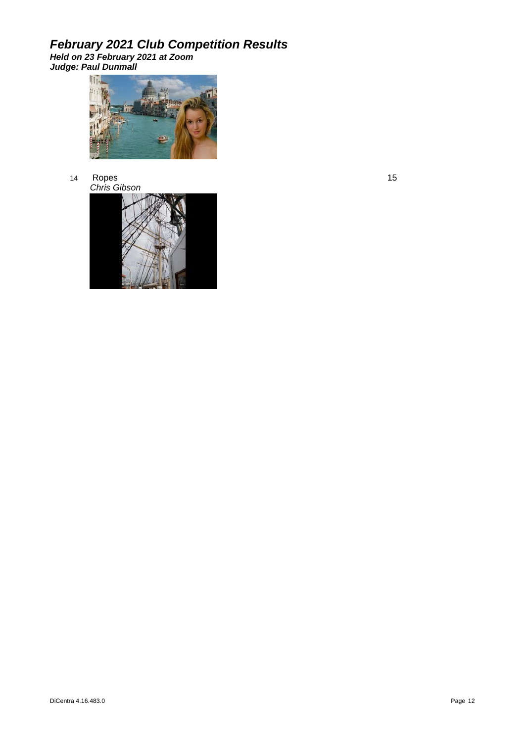*Held on 23 February 2021 at Zoom Judge: Paul Dunmall* 



14 Ropes 15 and 20 January 2016 15 and 2016 15 and 2017 15 and 2017 15 and 2017 15 and 2017 15 and 2017 16 and *Chris Gibson*

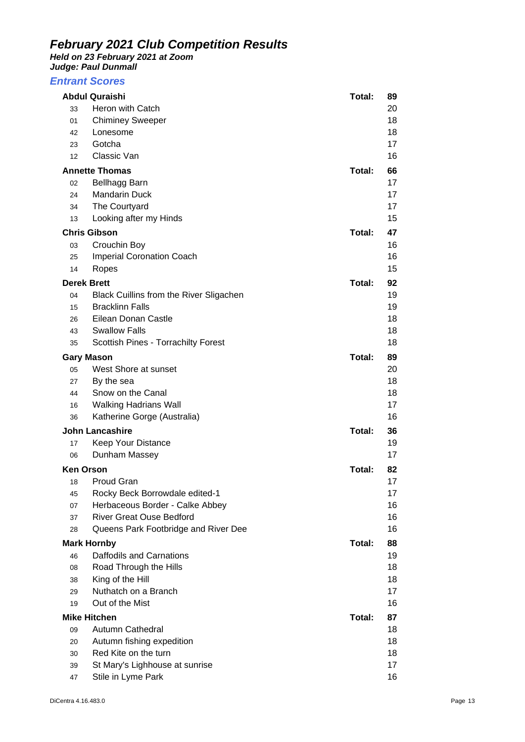*Held on 23 February 2021 at Zoom* 

*Judge: Paul Dunmall* 

#### *Entrant Scores*

| <b>Abdul Quraishi</b>  |                                                | Total: | 89 |
|------------------------|------------------------------------------------|--------|----|
| 33                     | Heron with Catch                               |        | 20 |
| 01                     | <b>Chiminey Sweeper</b>                        |        | 18 |
| 42                     | Lonesome                                       |        | 18 |
| 23                     | Gotcha                                         |        | 17 |
| 12                     | Classic Van                                    |        | 16 |
| <b>Annette Thomas</b>  |                                                | Total: | 66 |
| 02                     | Bellhagg Barn                                  |        | 17 |
| 24                     | <b>Mandarin Duck</b>                           |        | 17 |
| 34                     | The Courtyard                                  |        | 17 |
| 13                     | Looking after my Hinds                         |        | 15 |
| <b>Chris Gibson</b>    |                                                | Total: | 47 |
| 03                     | Crouchin Boy                                   |        | 16 |
| 25                     | <b>Imperial Coronation Coach</b>               |        | 16 |
| 14                     | Ropes                                          |        | 15 |
| <b>Derek Brett</b>     |                                                | Total: | 92 |
| 04                     | <b>Black Cuillins from the River Sligachen</b> |        | 19 |
| 15                     | <b>Bracklinn Falls</b>                         |        | 19 |
| 26                     | Eilean Donan Castle                            |        | 18 |
| 43                     | <b>Swallow Falls</b>                           |        | 18 |
| 35                     | Scottish Pines - Torrachilty Forest            |        | 18 |
| <b>Gary Mason</b>      |                                                | Total: | 89 |
| 05                     | West Shore at sunset                           |        | 20 |
| 27                     | By the sea                                     |        | 18 |
| 44                     | Snow on the Canal                              |        | 18 |
| 16                     | <b>Walking Hadrians Wall</b>                   |        | 17 |
| 36                     | Katherine Gorge (Australia)                    |        | 16 |
| <b>John Lancashire</b> |                                                | Total: | 36 |
| 17                     | Keep Your Distance                             |        | 19 |
| 06                     | Dunham Massey                                  |        | 17 |
| <b>Ken Orson</b>       |                                                | Total: | 82 |
| 18                     | Proud Gran                                     |        | 17 |
| 45                     | Rocky Beck Borrowdale edited-1                 |        | 17 |
| 07                     | Herbaceous Border - Calke Abbey                |        | 16 |
| 37                     | <b>River Great Ouse Bedford</b>                |        | 16 |
| 28                     | Queens Park Footbridge and River Dee           |        | 16 |
| <b>Mark Hornby</b>     |                                                | Total: | 88 |
| 46                     | Daffodils and Carnations                       |        | 19 |
| 08                     | Road Through the Hills                         |        | 18 |
| 38                     | King of the Hill                               |        | 18 |
| 29                     | Nuthatch on a Branch                           |        | 17 |
| 19                     | Out of the Mist                                |        | 16 |
| <b>Mike Hitchen</b>    |                                                | Total: | 87 |
| 09                     | Autumn Cathedral                               |        | 18 |
| 20                     | Autumn fishing expedition                      |        | 18 |
| 30                     | Red Kite on the turn                           |        | 18 |
| 39                     | St Mary's Lighhouse at sunrise                 |        | 17 |
| 47                     | Stile in Lyme Park                             |        | 16 |